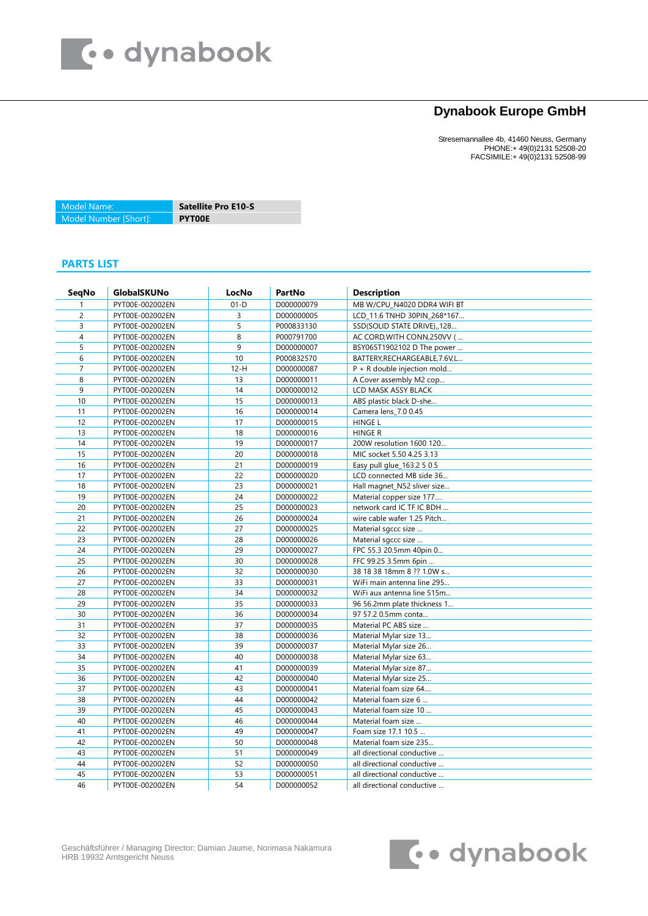

## **Dynabook Europe GmbH**

Stresemannallee 4b, 41460 Neuss, Germany PHONE:+ 49(0)2131 52508-20 FACSIMILE:+ 49(0)2131 52508-99

Model Name: **Satellite Pro E10-S** Model Number [Short]: **PYT00E**

## **PARTS LIST**

| <b>SegNo</b>   | GlobalSKUNo     | LocNo  | PartNo     | <b>Description</b>             |
|----------------|-----------------|--------|------------|--------------------------------|
|                | PYT00E-002002EN | $01-D$ | D000000079 | MB W/CPU_N4020 DDR4 WIFI BT    |
| $\overline{c}$ | PYT00E-002002EN | 3      | D000000005 | LCD 11.6 TNHD 30PIN 268*167    |
| 3              | PYT00E-002002EN | 5      | P000833130 | SSD(SOLID STATE DRIVE), 128    |
| 4              | PYT00E-002002EN | 8      | P000791700 | AC CORD, WITH CONN, 250VV (    |
| 5              | PYT00E-002002EN | 9      | D000000007 | BSY065T1902102 D The power     |
| 6              | PYT00E-002002EN | $10$   | P000832570 | BATTERY, RECHARGEABLE, 7.6V, L |
| $\overline{7}$ | PYT00E-002002EN | $12-H$ | D000000087 | $P + R$ double injection mold  |
| 8              | PYT00E-002002EN | 13     | D000000011 | A Cover assembly M2 cop        |
| 9              | PYT00E-002002EN | 14     | D000000012 | LCD MASK ASSY BLACK            |
| 10             | PYT00E-002002EN | 15     | D000000013 | ABS plastic black D-she        |
| 11             | PYT00E-002002EN | 16     | D000000014 | Camera lens 7.0 0.45           |
| 12             | PYT00E-002002EN | 17     | D000000015 | <b>HINGE L</b>                 |
| 13             | PYT00E-002002EN | 18     | D000000016 | <b>HINGE R</b>                 |
| 14             | PYT00E-002002EN | 19     | D000000017 | 200W resolution 1600 120       |
| 15             | PYT00E-002002EN | 20     | D000000018 | MIC socket 5.50 4.25 3.13      |
| 16             | PYT00E-002002EN | 21     | D000000019 | Easy pull glue_163.2 5 0.5     |
| 17             | PYT00E-002002EN | 22     | D000000020 | LCD connected MB side 36       |
| 18             | PYT00E-002002EN | 23     | D000000021 | Hall magnet_N52 sliver size    |
| 19             | PYT00E-002002EN | 24     | D000000022 | Material copper size 177       |
| 20             | PYT00E-002002EN | 25     | D000000023 | network card IC TF IC BDH      |
| 21             | PYT00E-002002EN | 26     | D000000024 | wire cable wafer 1.25 Pitch    |
| 22             | PYT00E-002002EN | 27     | D000000025 | Material sgccc size            |
| 23             | PYT00E-002002EN | 28     | D000000026 | Material sgccc size            |
| 24             | PYT00E-002002EN | 29     | D000000027 | FPC 55.3 20.5mm 40pin 0        |
| 25             | PYT00E-002002EN | 30     | D000000028 | FFC 99.25 3.5mm 6pin           |
| 26             | PYT00E-002002EN | 32     | D000000030 | 38 18 38 18mm 8 ?? 1.0W s      |
| 27             | PYT00E-002002EN | 33     | D000000031 | WiFi main antenna line 295     |
| 28             | PYT00E-002002EN | 34     | D000000032 | WiFi aux antenna line 515m     |
| 29             | PYT00E-002002EN | 35     | D000000033 | 96 56.2mm plate thickness 1    |
| 30             | PYT00E-002002EN | 36     | D000000034 | 97 57.2 0.5mm conta            |
| 31             | PYT00E-002002EN | 37     | D000000035 | Material PC ABS size           |
| 32             | PYT00E-002002EN | 38     | D000000036 | Material Mylar size 13         |
| 33             | PYT00E-002002EN | 39     | D000000037 | Material Mylar size 26         |
| 34             | PYT00E-002002EN | 40     | D000000038 | Material Mylar size 63         |
| 35             | PYT00E-002002EN | 41     | D000000039 | Material Mylar size 87         |
| 36             | PYT00E-002002EN | 42     | D000000040 | Material Mylar size 25         |
| 37             | PYT00E-002002EN | 43     | D000000041 | Material foam size 64          |
| 38             | PYT00E-002002EN | 44     | D000000042 | Material foam size 6           |
| 39             | PYT00E-002002EN | 45     | D000000043 | Material foam size 10          |
| 40             | PYT00E-002002EN | 46     | D000000044 | Material foam size             |
| 41             | PYT00E-002002EN | 49     | D000000047 | Foam size 17.1 10.5            |
| 42             | PYT00E-002002EN | 50     | D000000048 | Material foam size 235         |
| 43             | PYT00E-002002EN | 51     | D000000049 | all directional conductive     |
| 44             | PYT00E-002002EN | 52     | D000000050 | all directional conductive     |
| 45             | PYT00E-002002EN | 53     | D000000051 | all directional conductive     |
| 46             | PYT00E-002002EN | 54     | D000000052 | all directional conductive     |

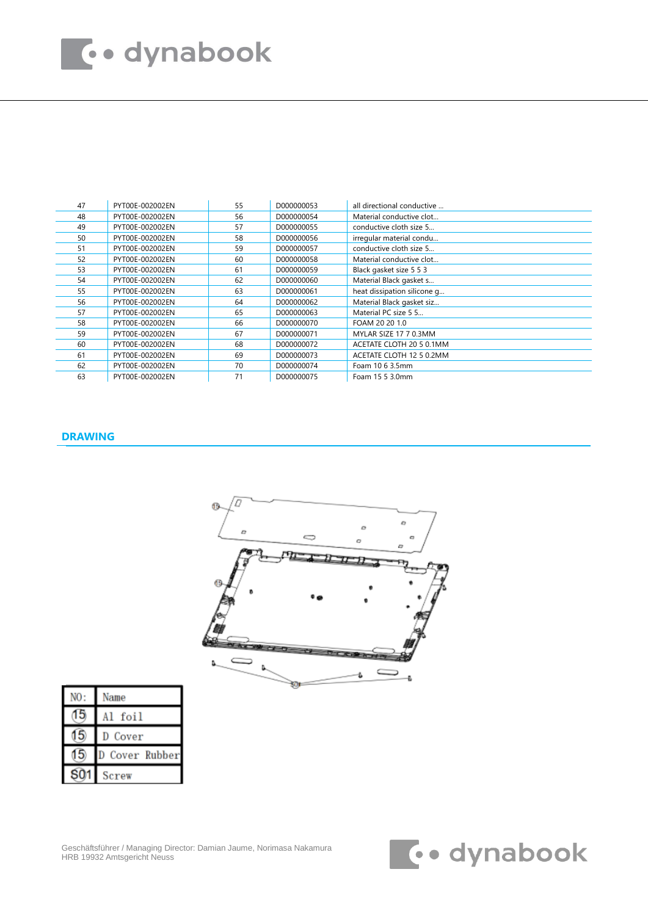## **Too dynabook**

| 47 | PYT00E-002002EN | 55 | D000000053 | all directional conductive  |
|----|-----------------|----|------------|-----------------------------|
| 48 | PYT00E-002002EN | 56 | D000000054 | Material conductive clot    |
| 49 | PYT00E-002002EN | 57 | D000000055 | conductive cloth size 5     |
| 50 | PYT00E-002002EN | 58 | D000000056 | irregular material condu    |
| 51 | PYT00E-002002EN | 59 | D000000057 | conductive cloth size 5     |
| 52 | PYT00E-002002EN | 60 | D000000058 | Material conductive clot    |
| 53 | PYT00E-002002EN | 61 | D000000059 | Black gasket size 5 5 3     |
| 54 | PYT00E-002002EN | 62 | D000000060 | Material Black gasket s     |
| 55 | PYT00E-002002EN | 63 | D000000061 | heat dissipation silicone q |
| 56 | PYT00E-002002EN | 64 | D000000062 | Material Black gasket siz   |
| 57 | PYT00E-002002EN | 65 | D000000063 | Material PC size 5 5        |
| 58 | PYT00E-002002EN | 66 | D000000070 | FOAM 20 20 1.0              |
| 59 | PYT00E-002002EN | 67 | D000000071 | MYLAR SIZE 17 7 0.3MM       |
| 60 | PYT00E-002002EN | 68 | D000000072 | ACETATE CLOTH 20 5 0.1MM    |
| 61 | PYT00E-002002EN | 69 | D000000073 | ACETATE CLOTH 12 5 0.2MM    |
| 62 | PYT00E-002002EN | 70 | D000000074 | Foam 10 6 3.5mm             |
| 63 | PYT00E-002002EN | 71 | D000000075 | Foam 15 5 3.0mm             |

## **DRAWING**



|                 | Name         |
|-----------------|--------------|
|                 | Al foil      |
|                 | Cover        |
| 15              | Cover Rubber |
| S <sub>01</sub> | Screw        |